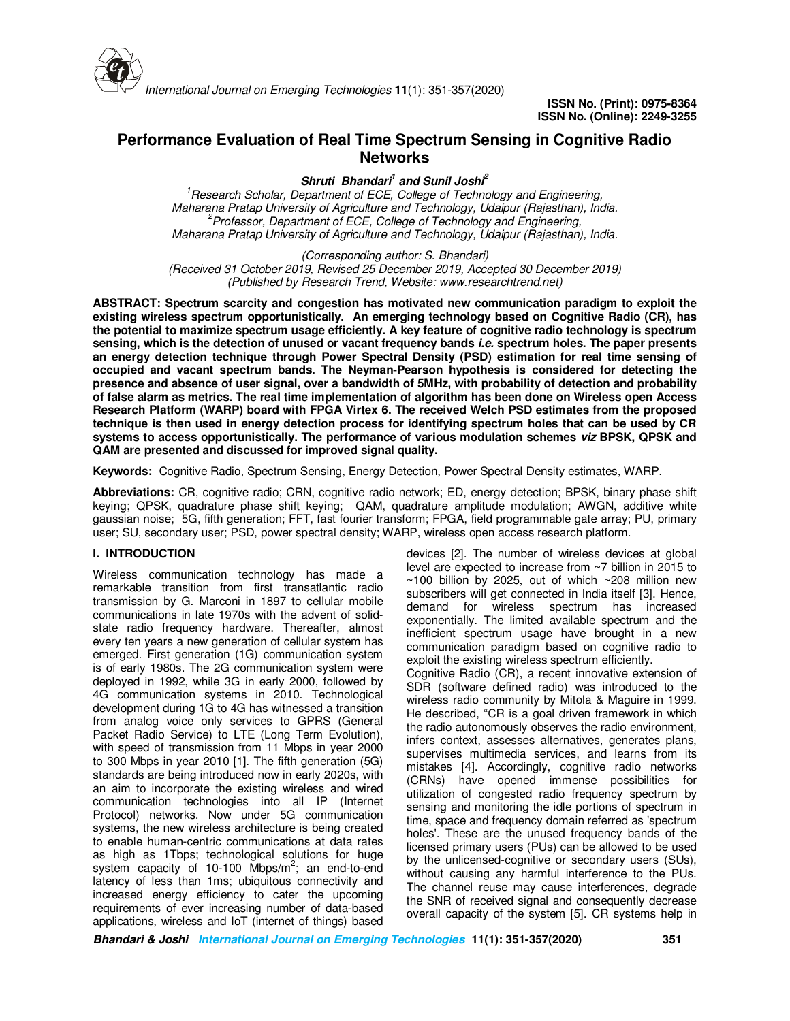

# **Performance Evaluation of Real Time Spectrum Sensing in Cognitive Radio Networks**

**Shruti Bhandari<sup>1</sup> and Sunil Joshi<sup>2</sup>**

<sup>1</sup>*Research Scholar, Department of ECE, College of Technology and Engineering, Maharana Pratap University of Agriculture and Technology, Udaipur (Rajasthan), India. <sup>2</sup>Professor, Department of ECE, College of Technology and Engineering, Maharana Pratap University of Agriculture and Technology, Udaipur (Rajasthan), India.*

*(Corresponding author: S. Bhandari)*

*(Received 31 October 2019, Revised 25 December 2019, Accepted 30 December 2019) (Published by Research Trend, Website: www.researchtrend.net)* 

**ABSTRACT: Spectrum scarcity and congestion has motivated new communication paradigm to exploit the existing wireless spectrum opportunistically. An emerging technology based on Cognitive Radio (CR), has the potential to maximize spectrum usage efficiently. A key feature of cognitive radio technology is spectrum sensing, which is the detection of unused or vacant frequency bands i.e. spectrum holes. The paper presents an energy detection technique through Power Spectral Density (PSD) estimation for real time sensing of occupied and vacant spectrum bands. The Neyman-Pearson hypothesis is considered for detecting the presence and absence of user signal, over a bandwidth of 5MHz, with probability of detection and probability of false alarm as metrics. The real time implementation of algorithm has been done on Wireless open Access Research Platform (WARP) board with FPGA Virtex 6. The received Welch PSD estimates from the proposed technique is then used in energy detection process for identifying spectrum holes that can be used by CR systems to access opportunistically. The performance of various modulation schemes viz BPSK, QPSK and QAM are presented and discussed for improved signal quality.**

**Keywords:** Cognitive Radio, Spectrum Sensing, Energy Detection, Power Spectral Density estimates, WARP.

**Abbreviations:** CR, cognitive radio; CRN, cognitive radio network; ED, energy detection; BPSK, binary phase shift keying; QPSK, quadrature phase shift keying; QAM, quadrature amplitude modulation; AWGN, additive white gaussian noise; 5G, fifth generation; FFT, fast fourier transform; FPGA, field programmable gate array; PU, primary user; SU, secondary user; PSD, power spectral density; WARP, wireless open access research platform.

# **I. INTRODUCTION**

Wireless communication technology has made a remarkable transition from first transatlantic radio transmission by G. Marconi in 1897 to cellular mobile communications in late 1970s with the advent of solidstate radio frequency hardware. Thereafter, almost every ten years a new generation of cellular system has emerged. First generation (1G) communication system is of early 1980s. The 2G communication system were deployed in 1992, while 3G in early 2000, followed by 4G communication systems in 2010. Technological development during 1G to 4G has witnessed a transition from analog voice only services to GPRS (General Packet Radio Service) to LTE (Long Term Evolution), with speed of transmission from 11 Mbps in year 2000 to 300 Mbps in year 2010 [1]. The fifth generation (5G) standards are being introduced now in early 2020s, with an aim to incorporate the existing wireless and wired communication technologies into all IP (Internet Protocol) networks. Now under 5G communication systems, the new wireless architecture is being created to enable human-centric communications at data rates as high as 1Tbps; technological solutions for huge system capacity of 10-100 Mbps/m<sup>2</sup>; an end-to-end latency of less than 1ms; ubiquitous connectivity and increased energy efficiency to cater the upcoming requirements of ever increasing number of data-based applications, wireless and IoT (internet of things) based

devices [2]. The number of wireless devices at global level are expected to increase from ~7 billion in 2015 to  $\sim$ 100 billion by 2025, out of which  $\sim$ 208 million new subscribers will get connected in India itself [3]. Hence, demand for wireless spectrum has increased exponentially. The limited available spectrum and the inefficient spectrum usage have brought in a new communication paradigm based on cognitive radio to exploit the existing wireless spectrum efficiently.

Cognitive Radio (CR), a recent innovative extension of SDR (software defined radio) was introduced to the wireless radio community by Mitola & Maguire in 1999. He described, "CR is a goal driven framework in which the radio autonomously observes the radio environment, infers context, assesses alternatives, generates plans, supervises multimedia services, and learns from its mistakes [4]. Accordingly, cognitive radio networks (CRNs) have opened immense possibilities for utilization of congested radio frequency spectrum by sensing and monitoring the idle portions of spectrum in time, space and frequency domain referred as 'spectrum holes'. These are the unused frequency bands of the licensed primary users (PUs) can be allowed to be used by the unlicensed-cognitive or secondary users (SUs), without causing any harmful interference to the PUs. The channel reuse may cause interferences, degrade the SNR of received signal and consequently decrease overall capacity of the system [5]. CR systems help in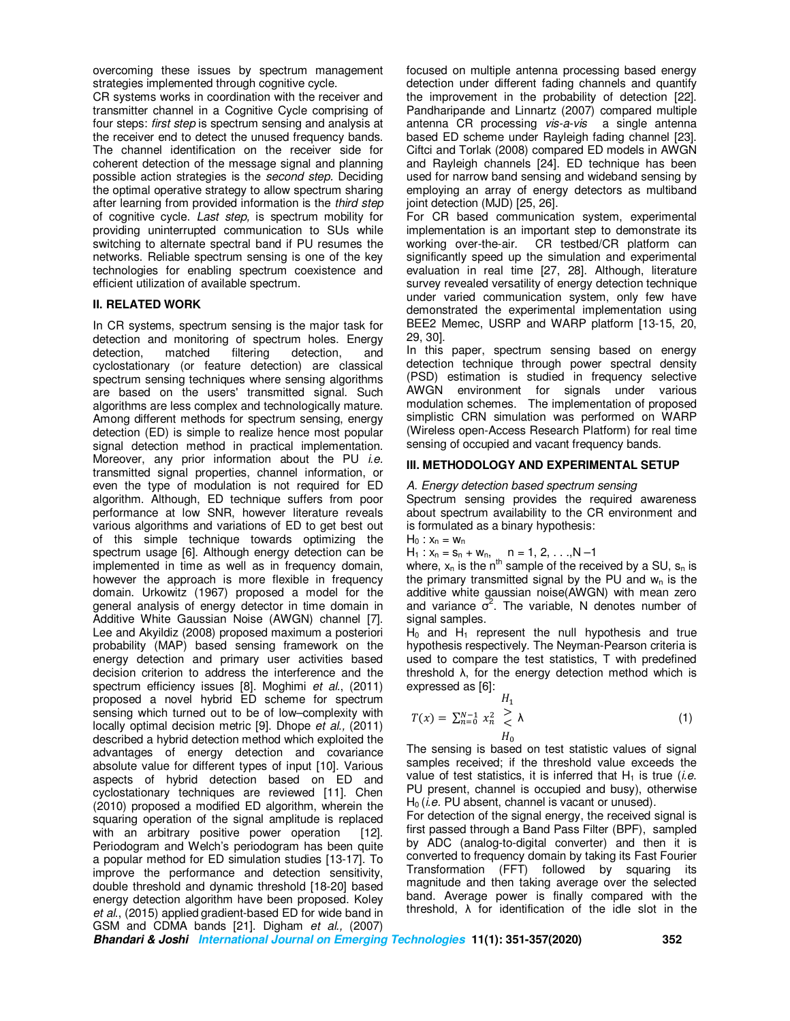overcoming these issues by spectrum management strategies implemented through cognitive cycle.

CR systems works in coordination with the receiver and transmitter channel in a Cognitive Cycle comprising of four steps: *first step* is spectrum sensing and analysis at the receiver end to detect the unused frequency bands. The channel identification on the receiver side for coherent detection of the message signal and planning possible action strategies is the *second step.* Deciding the optimal operative strategy to allow spectrum sharing after learning from provided information is the *third step*  of cognitive cycle. *Last step,* is spectrum mobility for providing uninterrupted communication to SUs while switching to alternate spectral band if PU resumes the networks. Reliable spectrum sensing is one of the key technologies for enabling spectrum coexistence and efficient utilization of available spectrum.

### **II. RELATED WORK**

In CR systems, spectrum sensing is the major task for detection and monitoring of spectrum holes. Energy detection, matched filtering detection, and cyclostationary (or feature detection) are classical spectrum sensing techniques where sensing algorithms are based on the users' transmitted signal. Such algorithms are less complex and technologically mature. Among different methods for spectrum sensing, energy detection (ED) is simple to realize hence most popular signal detection method in practical implementation. Moreover, any prior information about the PU *i.e.* transmitted signal properties, channel information, or even the type of modulation is not required for ED algorithm. Although, ED technique suffers from poor performance at low SNR, however literature reveals various algorithms and variations of ED to get best out of this simple technique towards optimizing the spectrum usage [6]. Although energy detection can be implemented in time as well as in frequency domain, however the approach is more flexible in frequency domain. Urkowitz (1967) proposed a model for the general analysis of energy detector in time domain in Additive White Gaussian Noise (AWGN) channel [7]. Lee and Akyildiz (2008) proposed maximum a posteriori probability (MAP) based sensing framework on the energy detection and primary user activities based decision criterion to address the interference and the spectrum efficiency issues [8]. Moghimi *et al.*, (2011) proposed a novel hybrid ED scheme for spectrum sensing which turned out to be of low–complexity with locally optimal decision metric [9]. Dhope *et al.,* (2011) described a hybrid detection method which exploited the advantages of energy detection and covariance absolute value for different types of input [10]. Various aspects of hybrid detection based on ED and cyclostationary techniques are reviewed [11]. Chen (2010) proposed a modified ED algorithm, wherein the squaring operation of the signal amplitude is replaced with an arbitrary positive power operation [12]. Periodogram and Welch's periodogram has been quite a popular method for ED simulation studies [13-17]. To improve the performance and detection sensitivity, double threshold and dynamic threshold [18-20] based energy detection algorithm have been proposed. Koley *et al*., (2015) applied gradient-based ED for wide band in GSM and CDMA bands [21]. Digham *et al.,* (2007)

focused on multiple antenna processing based energy detection under different fading channels and quantify the improvement in the probability of detection [22]. Pandharipande and Linnartz (2007) compared multiple antenna CR processing *vis-a-vis* a single antenna based ED scheme under Rayleigh fading channel [23]. Ciftci and Torlak (2008) compared ED models in AWGN and Rayleigh channels [24]. ED technique has been used for narrow band sensing and wideband sensing by employing an array of energy detectors as multiband joint detection (MJD) [25, 26].

For CR based communication system, experimental implementation is an important step to demonstrate its working over-the-air. CR testbed/CR platform can significantly speed up the simulation and experimental evaluation in real time [27, 28]. Although, literature survey revealed versatility of energy detection technique under varied communication system, only few have demonstrated the experimental implementation using BEE2 Memec, USRP and WARP platform [13-15, 20, 29, 30].

In this paper, spectrum sensing based on energy detection technique through power spectral density (PSD) estimation is studied in frequency selective AWGN environment for signals under various modulation schemes. The implementation of proposed simplistic CRN simulation was performed on WARP (Wireless open-Access Research Platform) for real time sensing of occupied and vacant frequency bands.

# **III. METHODOLOGY AND EXPERIMENTAL SETUP**

### *A. Energy detection based spectrum sensing*

Spectrum sensing provides the required awareness about spectrum availability to the CR environment and is formulated as a binary hypothesis:

 $H_0: x_n = w_n$ 

 $H_1$  :  $x_n = s_n + w_n$ ,  $n = 1, 2, ..., N-1$ 

where,  $x_n$  is the n<sup>th</sup> sample of the received by a SU,  $s_n$  is the primary transmitted signal by the PU and  $w_n$  is the additive white gaussian noise(AWGN) with mean zero and variance  $\vec{\sigma}^2$ . The variable, N denotes number of signal samples.

 $H_0$  and  $H_1$  represent the null hypothesis and true hypothesis respectively. The Neyman-Pearson criteria is used to compare the test statistics, T with predefined threshold  $\lambda$ , for the energy detection method which is expressed as [6]:

$$
H_1
$$
  
\n
$$
T(x) = \sum_{n=0}^{N-1} x_n^2 \ge \lambda
$$
  
\n
$$
H_0
$$
 (1)

The sensing is based on test statistic values of signal samples received; if the threshold value exceeds the value of test statistics, it is inferred that H<sub>1</sub> is true *(i.e.*) PU present, channel is occupied and busy), otherwise H<sub>0</sub> (*i.e.* PU absent, channel is vacant or unused).

For detection of the signal energy, the received signal is first passed through a Band Pass Filter (BPF), sampled by ADC (analog-to-digital converter) and then it is converted to frequency domain by taking its Fast Fourier Transformation (FFT) followed by squaring its magnitude and then taking average over the selected band. Average power is finally compared with the threshold,  $\lambda$  for identification of the idle slot in the

**Bhandari & Joshi International Journal on Emerging Technologies 11(1): 351-357(2020) 352**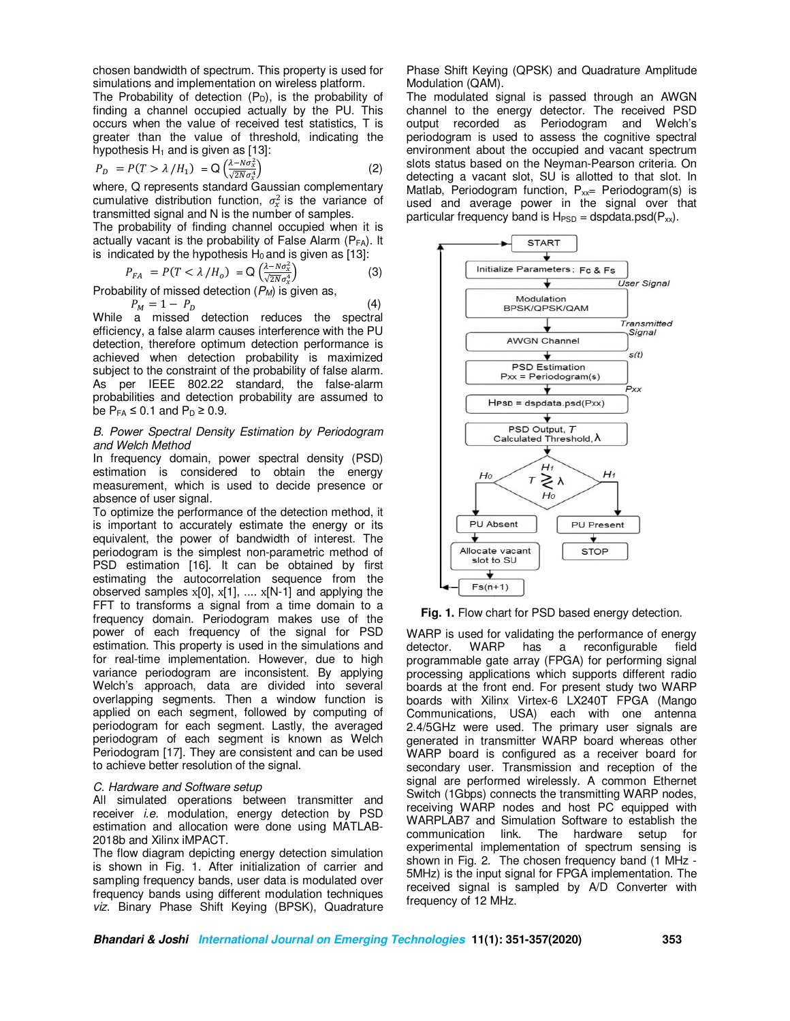chosen bandwidth of spectrum. This property is used for simulations and implementation on wireless platform.

The Probability of detection  $(P_D)$ , is the probability of finding a channel occupied actually by the PU. This occurs when the value of received test statistics, T is greater than the value of threshold, indicating the hypothesis  $H_1$  and is given as [13]:

$$
P_D = P(T > \lambda / H_1) = Q\left(\frac{\lambda - N\sigma_x^2}{\sqrt{2N}\sigma_x^4}\right) \tag{2}
$$

 $\overline{\mathbb{Z}}$  where, Q represents standard Gaussian complementary cumulative distribution function,  $\sigma_x^2$  is the variance of transmitted signal and N is the number of samples.

The probability of finding channel occupied when it is actually vacant is the probability of False Alarm ( $P_{FA}$ ). It is indicated by the hypothesis  $H_0$  and is given as [13]:

$$
P_{FA} = P(T < \lambda / H_o) = Q\left(\frac{\lambda - N\sigma_x^2}{\sqrt{2N}\sigma_x^4}\right)
$$
 (3)

√ Probability of missed detection (*PM*) is given as,

$$
P_M = 1 - P_D \tag{4}
$$

While a missed detection reduces the spectral efficiency, a false alarm causes interference with the PU detection, therefore optimum detection performance is achieved when detection probability is maximized subject to the constraint of the probability of false alarm. As per IEEE 802.22 standard, the false-alarm probabilities and detection probability are assumed to be  $P_{FA} \leq 0.1$  and  $P_D \geq 0.9$ .

## *B. Power Spectral Density Estimation by Periodogram and Welch Method*

In frequency domain, power spectral density (PSD) estimation is considered to obtain the energy measurement, which is used to decide presence or absence of user signal.

To optimize the performance of the detection method, it is important to accurately estimate the energy or its equivalent, the power of bandwidth of interest. The periodogram is the simplest non-parametric method of PSD estimation [16]. It can be obtained by first estimating the autocorrelation sequence from the observed samples  $x[0], x[1], ..., x[N-1]$  and applying the FFT to transforms a signal from a time domain to a frequency domain. Periodogram makes use of the power of each frequency of the signal for PSD estimation. This property is used in the simulations and for real-time implementation. However, due to high variance periodogram are inconsistent. By applying Welch's approach, data are divided into several overlapping segments. Then a window function is applied on each segment, followed by computing of periodogram for each segment. Lastly, the averaged periodogram of each segment is known as Welch Periodogram [17]. They are consistent and can be used to achieve better resolution of the signal.

# *C. Hardware and Software setup*

All simulated operations between transmitter and receiver *i.e.* modulation, energy detection by PSD estimation and allocation were done using MATLAB-2018b and Xilinx iMPACT.

The flow diagram depicting energy detection simulation is shown in Fig. 1. After initialization of carrier and sampling frequency bands, user data is modulated over frequency bands using different modulation techniques *viz*. Binary Phase Shift Keying (BPSK), Quadrature

Phase Shift Keying (QPSK) and Quadrature Amplitude Modulation (QAM).

The modulated signal is passed through an AWGN channel to the energy detector. The received PSD output recorded as Periodogram and Welch's periodogram is used to assess the cognitive spectral environment about the occupied and vacant spectrum slots status based on the Neyman-Pearson criteria. On detecting a vacant slot, SU is allotted to that slot. In Matlab, Periodogram function,  $P_{xx}$  Periodogram(s) is used and average power in the signal over that particular frequency band is  $H_{PSD}$  = dspdata.psd( $P_{xx}$ ).



**Fig. 1.** Flow chart for PSD based energy detection.

WARP is used for validating the performance of energy detector. WARP has a reconfigurable field programmable gate array (FPGA) for performing signal processing applications which supports different radio boards at the front end. For present study two WARP boards with Xilinx Virtex-6 LX240T FPGA (Mango Communications, USA) each with one antenna 2.4/5GHz were used. The primary user signals are generated in transmitter WARP board whereas other WARP board is configured as a receiver board for secondary user. Transmission and reception of the signal are performed wirelessly. A common Ethernet Switch (1Gbps) connects the transmitting WARP nodes, receiving WARP nodes and host PC equipped with WARPLAB7 and Simulation Software to establish the communication link. The hardware setup for experimental implementation of spectrum sensing is shown in Fig. 2. The chosen frequency band (1 MHz - 5MHz) is the input signal for FPGA implementation. The received signal is sampled by A/D Converter with frequency of 12 MHz.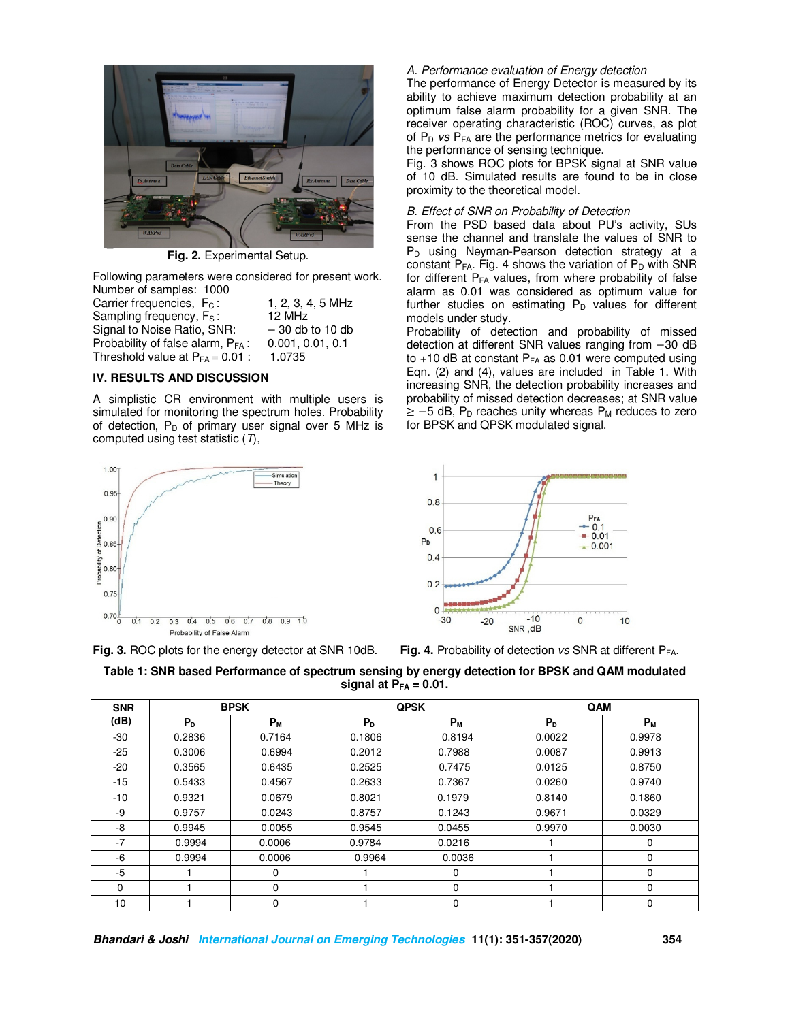

**Fig. 2.** Experimental Setup.

Following parameters were considered for present work. Number of samples: 1000

| Carrier frequencies, F <sub>c</sub> :         | 1, 2, 3, 4, 5 MHz |
|-----------------------------------------------|-------------------|
| Sampling frequency, F <sub>s</sub> :          | 12 MHz            |
| Signal to Noise Ratio, SNR:                   | $-30$ db to 10 db |
| Probability of false alarm, P <sub>FA</sub> : | 0.001, 0.01, 0.1  |
| Threshold value at $P_{FA} = 0.01$ :          | 1.0735            |
|                                               |                   |

# **IV. RESULTS AND DISCUSSION**

A simplistic CR environment with multiple users is simulated for monitoring the spectrum holes. Probability of detection,  $P_D$  of primary user signal over 5 MHz is computed using test statistic (*T*),



**Fig. 3.** ROC plots for the energy detector at SNR 10dB. **Fig. 4.** Probability of detection *vs* SNR at different PFA.

# *A. Performance evaluation of Energy detection*

The performance of Energy Detector is measured by its ability to achieve maximum detection probability at an optimum false alarm probability for a given SNR. The receiver operating characteristic (ROC) curves, as plot of P<sub>D</sub> *vs* P<sub>FA</sub> are the performance metrics for evaluating the performance of sensing technique.

Fig. 3 shows ROC plots for BPSK signal at SNR value of 10 dB. Simulated results are found to be in close proximity to the theoretical model.

### *B. Effect of SNR on Probability of Detection*

From the PSD based data about PU's activity, SUs sense the channel and translate the values of SNR to P<sub>D</sub> using Neyman-Pearson detection strategy at a constant  $P_{FA}$ . Fig. 4 shows the variation of  $P_D$  with SNR for different  $P_{FA}$  values, from where probability of false alarm as 0.01 was considered as optimum value for further studies on estimating  $P_D$  values for different models under study.

Probability of detection and probability of missed detection at different SNR values ranging from −30 dB to  $+10$  dB at constant  $P_{FA}$  as 0.01 were computed using Eqn. (2) and (4), values are included in Table 1. With increasing SNR, the detection probability increases and probability of missed detection decreases; at SNR value  $\ge$  -5 dB, P<sub>D</sub> reaches unity whereas P<sub>M</sub> reduces to zero for BPSK and QPSK modulated signal.



| Table 1: SNR based Performance of spectrum sensing by energy detection for BPSK and QAM modulated |
|---------------------------------------------------------------------------------------------------|
| signal at $P_{FA} = 0.01$ .                                                                       |

| <b>SNR</b> | <b>BPSK</b> |         | <b>QPSK</b> |          | QAM    |          |
|------------|-------------|---------|-------------|----------|--------|----------|
| (dB)       | $P_{D}$     | $P_{M}$ | $P_{D}$     | $P_{M}$  | $P_D$  | $P_M$    |
| $-30$      | 0.2836      | 0.7164  | 0.1806      | 0.8194   | 0.0022 | 0.9978   |
| $-25$      | 0.3006      | 0.6994  | 0.2012      | 0.7988   | 0.0087 | 0.9913   |
| $-20$      | 0.3565      | 0.6435  | 0.2525      | 0.7475   | 0.0125 | 0.8750   |
| $-15$      | 0.5433      | 0.4567  | 0.2633      | 0.7367   | 0.0260 | 0.9740   |
| -10        | 0.9321      | 0.0679  | 0.8021      | 0.1979   | 0.8140 | 0.1860   |
| -9         | 0.9757      | 0.0243  | 0.8757      | 0.1243   | 0.9671 | 0.0329   |
| -8         | 0.9945      | 0.0055  | 0.9545      | 0.0455   | 0.9970 | 0.0030   |
| $-7$       | 0.9994      | 0.0006  | 0.9784      | 0.0216   |        | 0        |
| -6         | 0.9994      | 0.0006  | 0.9964      | 0.0036   |        | 0        |
| $-5$       |             | 0       |             | 0        |        | 0        |
| $\Omega$   |             | 0       |             | $\Omega$ |        | $\Omega$ |
| 10         |             | 0       |             | $\Omega$ |        | 0        |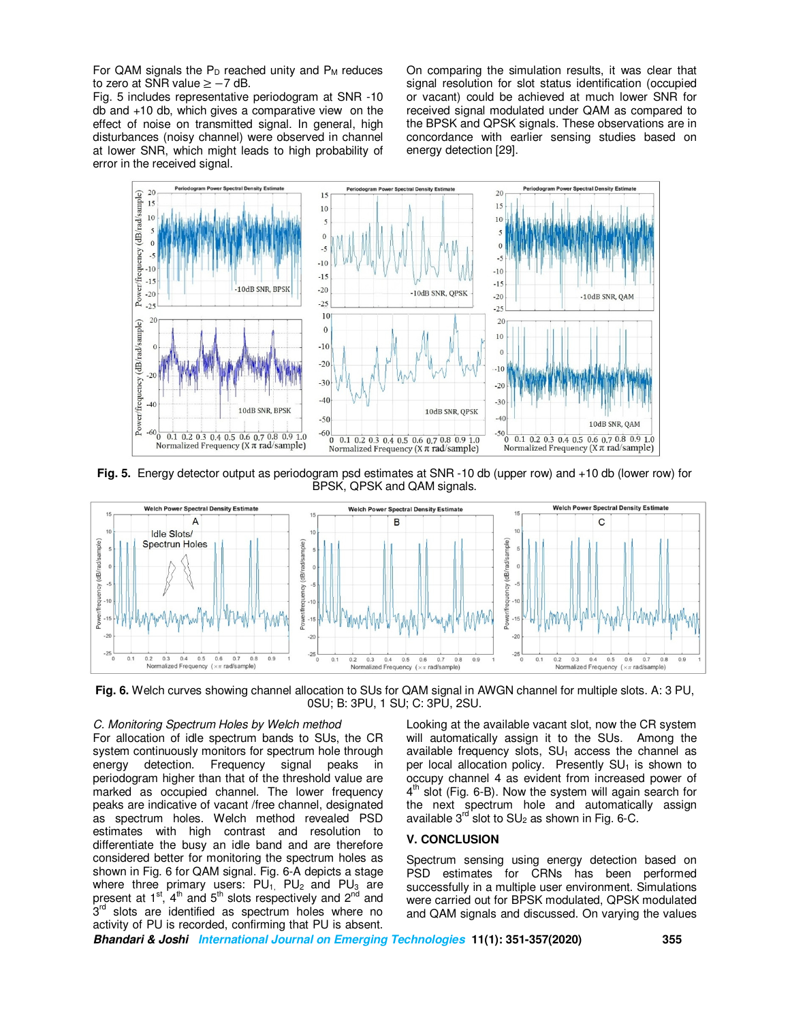For QAM signals the  $P_D$  reached unity and  $P_M$  reduces to zero at SNR value ≥ −7 dB.

Fig. 5 includes representative periodogram at SNR -10 db and +10 db, which gives a comparative view on the effect of noise on transmitted signal. In general, high disturbances (noisy channel) were observed in channel at lower SNR, which might leads to high probability of error in the received signal.

On comparing the simulation results, it was clear that signal resolution for slot status identification (occupied or vacant) could be achieved at much lower SNR for received signal modulated under QAM as compared to the BPSK and QPSK signals. These observations are in concordance with earlier sensing studies based on energy detection [29].



**Fig. 5.** Energy detector output as periodogram psd estimates at SNR -10 db (upper row) and +10 db (lower row) for BPSK, QPSK and QAM signals.



**Fig. 6.** Welch curves showing channel allocation to SUs for QAM signal in AWGN channel for multiple slots. A: 3 PU, 0SU; B: 3PU, 1 SU; C: 3PU, 2SU.

#### *C. Monitoring Spectrum Holes by Welch method*

For allocation of idle spectrum bands to SUs, the CR system continuously monitors for spectrum hole through energy detection. Frequency signal peaks in periodogram higher than that of the threshold value are marked as occupied channel. The lower frequency peaks are indicative of vacant /free channel, designated as spectrum holes. Welch method revealed PSD estimates with high contrast and resolution to differentiate the busy an idle band and are therefore considered better for monitoring the spectrum holes as shown in Fig. 6 for QAM signal. Fig. 6-A depicts a stage where three primary users:  $PU_1$ ,  $PU_2$  and  $PU_3$  are present at  $1<sup>st</sup>$ ,  $4<sup>th</sup>$  and  $5<sup>th</sup>$  slots respectively and  $2<sup>nd</sup>$  and 3<sup>rd</sup> slots are identified as spectrum holes where no activity of PU is recorded, confirming that PU is absent.

Looking at the available vacant slot, now the CR system will automatically assign it to the SUs. Among the available frequency slots,  $SU<sub>1</sub>$  access the channel as per local allocation policy. Presently  $SU<sub>1</sub>$  is shown to occupy channel 4 as evident from increased power of 4<sup>th</sup> slot (Fig. 6-B). Now the system will again search for the next spectrum hole and automatically assign available  $3^{rd}$  slot to  $SU<sub>2</sub>$  as shown in Fig. 6-C.

### **V. CONCLUSION**

Spectrum sensing using energy detection based on PSD estimates for CRNs has been performed successfully in a multiple user environment. Simulations were carried out for BPSK modulated, QPSK modulated and QAM signals and discussed. On varying the values

**Bhandari & Joshi International Journal on Emerging Technologies 11(1): 351-357(2020) 355**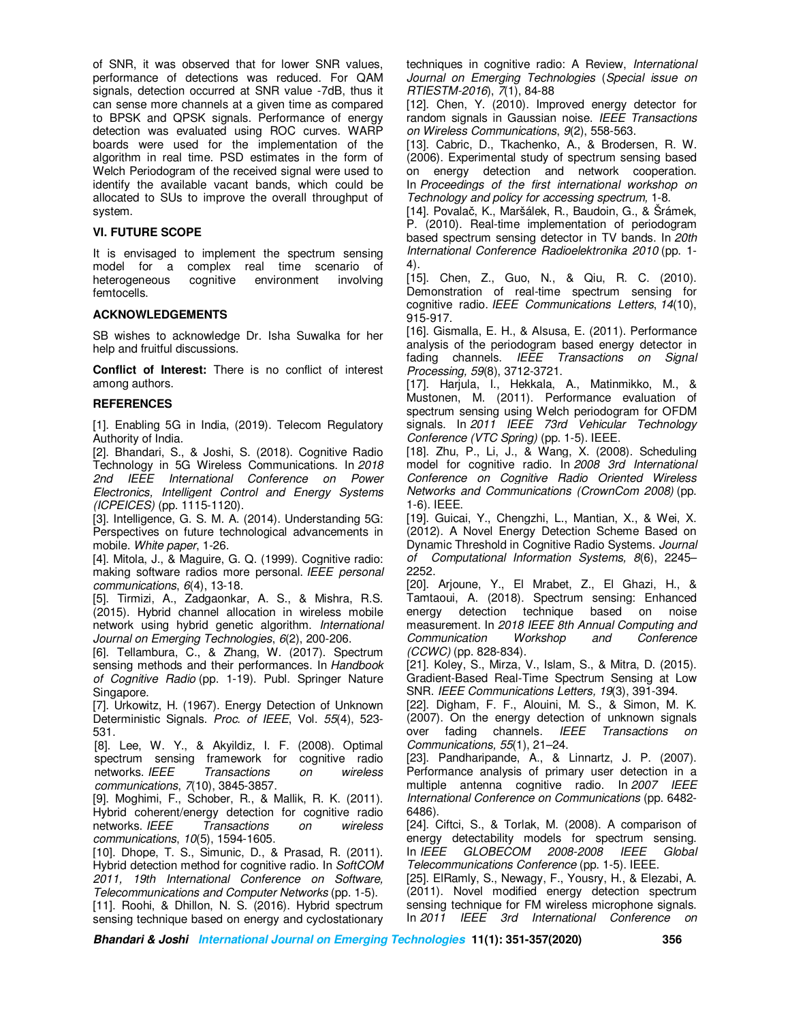of SNR, it was observed that for lower SNR values, performance of detections was reduced. For QAM signals, detection occurred at SNR value -7dB, thus it can sense more channels at a given time as compared to BPSK and QPSK signals. Performance of energy detection was evaluated using ROC curves. WARP boards were used for the implementation of the algorithm in real time. PSD estimates in the form of Welch Periodogram of the received signal were used to identify the available vacant bands, which could be allocated to SUs to improve the overall throughput of system.

# **VI. FUTURE SCOPE**

It is envisaged to implement the spectrum sensing model for a complex real time scenario of heterogeneous cognitive environment involving femtocells.

# **ACKNOWLEDGEMENTS**

SB wishes to acknowledge Dr. Isha Suwalka for her help and fruitful discussions.

**Conflict of Interest:** There is no conflict of interest among authors.

# **REFERENCES**

[1]. Enabling 5G in India, (2019). Telecom Regulatory Authority of India.

[2]. Bhandari, S., & Joshi, S. (2018). Cognitive Radio Technology in 5G Wireless Communications. In *2018 2nd IEEE International Conference on Power Electronics, Intelligent Control and Energy Systems (ICPEICES)* (pp. 1115-1120).

[3]. Intelligence, G. S. M. A. (2014). Understanding 5G: Perspectives on future technological advancements in mobile. *White paper*, 1-26.

[4]. Mitola, J., & Maguire, G. Q. (1999). Cognitive radio: making software radios more personal. *IEEE personal communications*, *6*(4), 13-18.

[5]. Tirmizi, A., Zadgaonkar, A. S., & Mishra, R.S. (2015). Hybrid channel allocation in wireless mobile network using hybrid genetic algorithm. *International Journal on Emerging Technologies*, *6*(2), 200-206.

[6]. Tellambura, C., & Zhang, W. (2017). Spectrum sensing methods and their performances. In *Handbook of Cognitive Radio* (pp. 1-19). Publ. Springer Nature Singapore.

[7]. Urkowitz, H. (1967). Energy Detection of Unknown Deterministic Signals. *Proc. of IEEE*, Vol. *55*(4), 523- 531.

[8]. Lee, W. Y., & Akyildiz, I. F. (2008). Optimal spectrum sensing framework for cognitive radio networks. *IEEE Transactions on wireless communications*, *7*(10), 3845-3857.

[9]. Moghimi, F., Schober, R., & Mallik, R. K. (2011). Hybrid coherent/energy detection for cognitive radio networks. *IEEE Transactions on wireless communications*, *10*(5), 1594-1605.

[10]. Dhope, T. S., Simunic, D., & Prasad, R. (2011). Hybrid detection method for cognitive radio. In *SoftCOM 2011, 19th International Conference on Software, Telecommunications and Computer Networks* (pp. 1-5). [11]. Roohi, & Dhillon, N. S. (2016). Hybrid spectrum

sensing technique based on energy and cyclostationary

techniques in cognitive radio: A Review, *International Journal on Emerging Technologies* (*Special issue on RTIESTM-2016*), *7*(1), 84-88

[12]. Chen, Y. (2010). Improved energy detector for random signals in Gaussian noise. *IEEE Transactions on Wireless Communications*, *9*(2), 558-563.

[13]. Cabric, D., Tkachenko, A., & Brodersen, R. W. (2006). Experimental study of spectrum sensing based on energy detection and network cooperation. In *Proceedings of the first international workshop on Technology and policy for accessing spectrum,* 1-8.

[14]. Povalač, K., Maršálek, R., Baudoin, G., & Šrámek, P. (2010). Real-time implementation of periodogram based spectrum sensing detector in TV bands. In *20th International Conference Radioelektronika 2010* (pp. 1- 4).

[15]. Chen, Z., Guo, N., & Qiu, R. C. (2010). Demonstration of real-time spectrum sensing for cognitive radio. *IEEE Communications Letters*, *14*(10), 915-917.

[16]. Gismalla, E. H., & Alsusa, E. (2011). Performance analysis of the periodogram based energy detector in fading channels. *IEEE Transactions on Signal Processing, 59*(8), 3712-3721.

[17]. Harjula, I., Hekkala, A., Matinmikko, M., & Mustonen, M. (2011). Performance evaluation of spectrum sensing using Welch periodogram for OFDM signals. In *2011 IEEE 73rd Vehicular Technology Conference (VTC Spring)* (pp. 1-5). IEEE.

[18]. Zhu, P., Li, J., & Wang, X. (2008). Scheduling model for cognitive radio. In *2008 3rd International Conference on Cognitive Radio Oriented Wireless Networks and Communications (CrownCom 2008)* (pp. 1-6). IEEE.

[19]. Guicai, Y., Chengzhi, L., Mantian, X., & Wei, X. (2012). A Novel Energy Detection Scheme Based on Dynamic Threshold in Cognitive Radio Systems. *Journal of Computational Information Systems, 8*(6), 2245– 2252.

[20]. Arjoune, Y., El Mrabet, Z., El Ghazi, H., & Tamtaoui, A. (2018). Spectrum sensing: Enhanced energy detection technique based on noise measurement. In *2018 IEEE 8th Annual Computing and Communication Workshop and Conference (CCWC)* (pp. 828-834).

[21]. Koley, S., Mirza, V., Islam, S., & Mitra, D. (2015). Gradient-Based Real-Time Spectrum Sensing at Low SNR. *IEEE Communications Letters, 19*(3), 391-394.

[22]. Digham, F. F., Alouini, M. S., & Simon, M. K. (2007). On the energy detection of unknown signals over fading channels. *IEEE Transactions on Communications, 55*(1), 21–24.

[23]. Pandharipande, A., & Linnartz, J. P. (2007). Performance analysis of primary user detection in a multiple antenna cognitive radio. In *2007 IEEE International Conference on Communications* (pp. 6482- 6486).

[24]. Ciftci, S., & Torlak, M. (2008). A comparison of energy detectability models for spectrum sensing.<br>In IEEE GLOBECOM 2008-2008 IEEE Global In *IEEE GLOBECOM 2008-2008 IEEE Global Telecommunications Conference* (pp. 1-5). IEEE.

[25]. ElRamly, S., Newagy, F., Yousry, H., & Elezabi, A. (2011). Novel modified energy detection spectrum sensing technique for FM wireless microphone signals. In *2011 IEEE 3rd International Conference on* 

**Bhandari & Joshi International Journal on Emerging Technologies 11(1): 351-357(2020) 356**